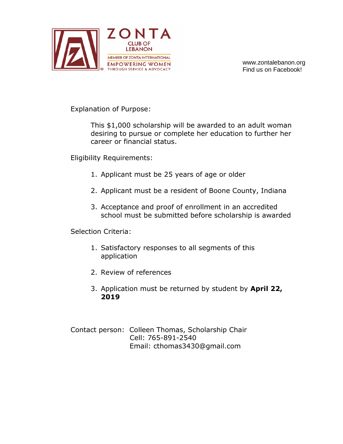

www.zontalebanon.org Find us on Facebook!

Explanation of Purpose:

This \$1,000 scholarship will be awarded to an adult woman desiring to pursue or complete her education to further her career or financial status.

Eligibility Requirements:

- 1. Applicant must be 25 years of age or older
- 2. Applicant must be a resident of Boone County, Indiana
- 3. Acceptance and proof of enrollment in an accredited school must be submitted before scholarship is awarded

Selection Criteria:

- 1. Satisfactory responses to all segments of this application
- 2. Review of references
- 3. Application must be returned by student by **April 22, 2019**

Contact person: Colleen Thomas, Scholarship Chair Cell: 765-891-2540 Email: cthomas3430@gmail.com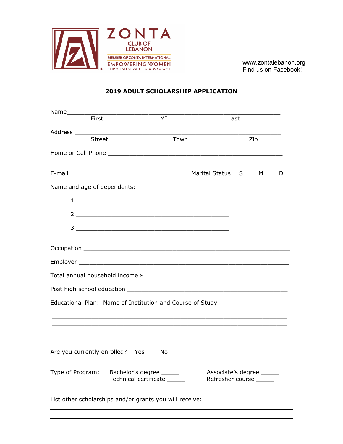

www.zontalebanon.org Find us on Facebook!

## **2019 ADULT SCHOLARSHIP APPLICATION**

| First                                                     | MI                                                      | Last                                          |     |  |   |  |
|-----------------------------------------------------------|---------------------------------------------------------|-----------------------------------------------|-----|--|---|--|
|                                                           |                                                         |                                               |     |  |   |  |
| Street                                                    | Town                                                    |                                               | Zip |  |   |  |
|                                                           |                                                         |                                               |     |  |   |  |
|                                                           |                                                         |                                               |     |  |   |  |
|                                                           |                                                         |                                               |     |  | D |  |
| Name and age of dependents:                               |                                                         |                                               |     |  |   |  |
|                                                           |                                                         |                                               |     |  |   |  |
|                                                           |                                                         |                                               |     |  |   |  |
|                                                           |                                                         |                                               |     |  |   |  |
|                                                           |                                                         |                                               |     |  |   |  |
|                                                           |                                                         |                                               |     |  |   |  |
|                                                           |                                                         |                                               |     |  |   |  |
|                                                           |                                                         |                                               |     |  |   |  |
|                                                           |                                                         |                                               |     |  |   |  |
| Educational Plan: Name of Institution and Course of Study |                                                         |                                               |     |  |   |  |
|                                                           |                                                         |                                               |     |  |   |  |
|                                                           |                                                         |                                               |     |  |   |  |
|                                                           |                                                         |                                               |     |  |   |  |
| Are you currently enrolled? Yes                           | No                                                      |                                               |     |  |   |  |
| Type of Program:                                          | Bachelor's degree ______<br>Technical certificate _____ | Associate's degree<br>Refresher course ______ |     |  |   |  |
| List other scholarships and/or grants you will receive:   |                                                         |                                               |     |  |   |  |